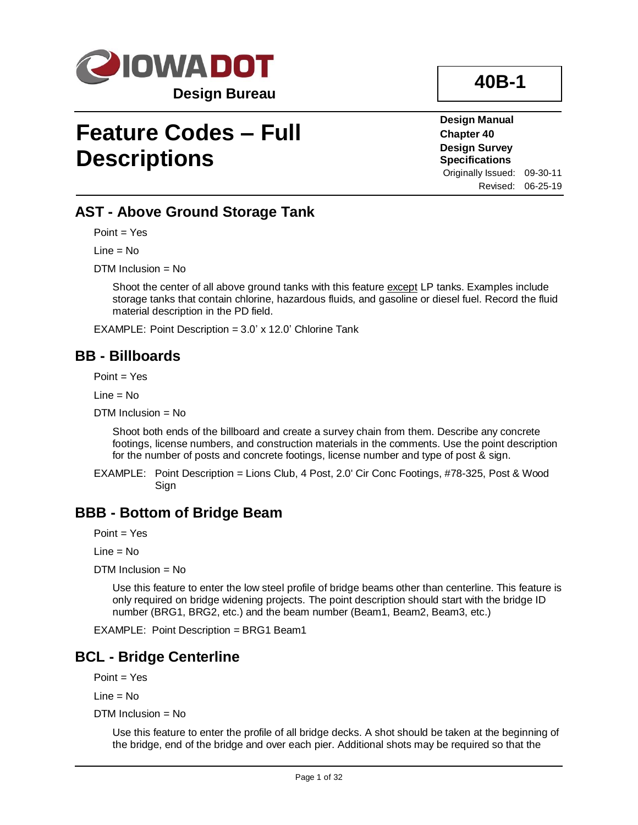

# **Feature Codes – Full Descriptions**

**Design Manual Chapter 40 Design Survey Specifications** Originally Issued: 09-30-11

**40B-1**

Revised: 06-25-19

# **AST - Above Ground Storage Tank**

Point = Yes

Line = No

DTM Inclusion = No

Shoot the center of all above ground tanks with this feature except LP tanks. Examples include storage tanks that contain chlorine, hazardous fluids, and gasoline or diesel fuel. Record the fluid material description in the PD field.

EXAMPLE: Point Description = 3.0' x 12.0' Chlorine Tank

#### **BB - Billboards**

 $Point = Yes$ 

 $Line = No$ 

DTM Inclusion = No

Shoot both ends of the billboard and create a survey chain from them. Describe any concrete footings, license numbers, and construction materials in the comments. Use the point description for the number of posts and concrete footings, license number and type of post & sign.

EXAMPLE: Point Description = Lions Club, 4 Post, 2.0' Cir Conc Footings, #78-325, Post & Wood Sign

#### **BBB - Bottom of Bridge Beam**

Point = Yes

Line = No

 $DTM$  Inclusion = No

Use this feature to enter the low steel profile of bridge beams other than centerline. This feature is only required on bridge widening projects. The point description should start with the bridge ID number (BRG1, BRG2, etc.) and the beam number (Beam1, Beam2, Beam3, etc.)

EXAMPLE: Point Description = BRG1 Beam1

# **BCL - Bridge Centerline**

Point = Yes

Line = No

DTM Inclusion = No

Use this feature to enter the profile of all bridge decks. A shot should be taken at the beginning of the bridge, end of the bridge and over each pier. Additional shots may be required so that the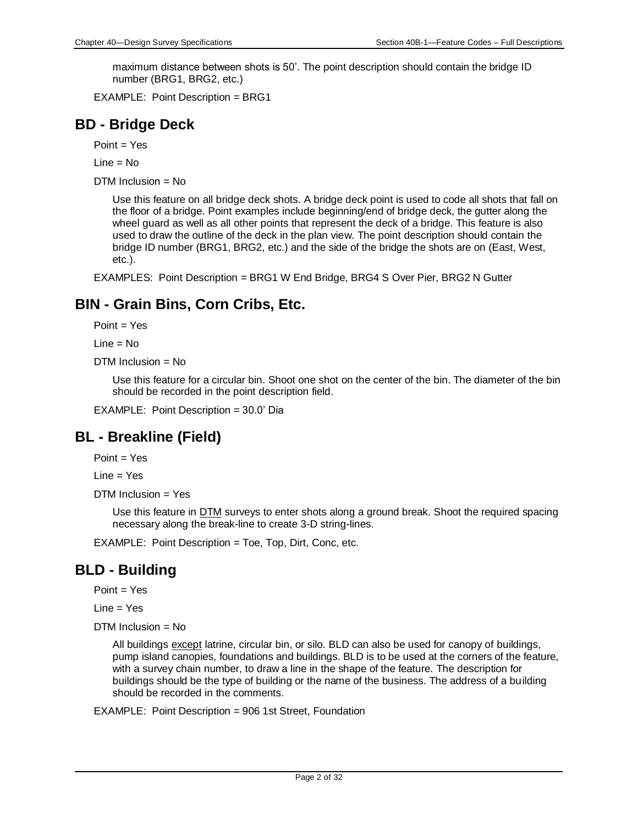maximum distance between shots is 50'. The point description should contain the bridge ID number (BRG1, BRG2, etc.)

EXAMPLE: Point Description = BRG1

# **BD - Bridge Deck**

Point = Yes

 $Line = No$ 

DTM Inclusion = No

Use this feature on all bridge deck shots. A bridge deck point is used to code all shots that fall on the floor of a bridge. Point examples include beginning/end of bridge deck, the gutter along the wheel guard as well as all other points that represent the deck of a bridge. This feature is also used to draw the outline of the deck in the plan view. The point description should contain the bridge ID number (BRG1, BRG2, etc.) and the side of the bridge the shots are on (East, West, etc.).

EXAMPLES: Point Description = BRG1 W End Bridge, BRG4 S Over Pier, BRG2 N Gutter

# **BIN - Grain Bins, Corn Cribs, Etc.**

Point = Yes

Line = No

DTM Inclusion = No

Use this feature for a circular bin. Shoot one shot on the center of the bin. The diameter of the bin should be recorded in the point description field.

EXAMPLE: Point Description = 30.0' Dia

# **BL - Breakline (Field)**

Point = Yes

Line = Yes

DTM Inclusion = Yes

Use this feature in DTM surveys to enter shots along a ground break. Shoot the required spacing necessary along the break-line to create 3-D string-lines.

EXAMPLE: Point Description = Toe, Top, Dirt, Conc, etc.

# **BLD - Building**

Point = Yes

Line = Yes

DTM Inclusion = No

All buildings except latrine, circular bin, or silo. BLD can also be used for canopy of buildings, pump island canopies, foundations and buildings. BLD is to be used at the corners of the feature, with a survey chain number, to draw a line in the shape of the feature. The description for buildings should be the type of building or the name of the business. The address of a building should be recorded in the comments.

EXAMPLE: Point Description = 906 1st Street, Foundation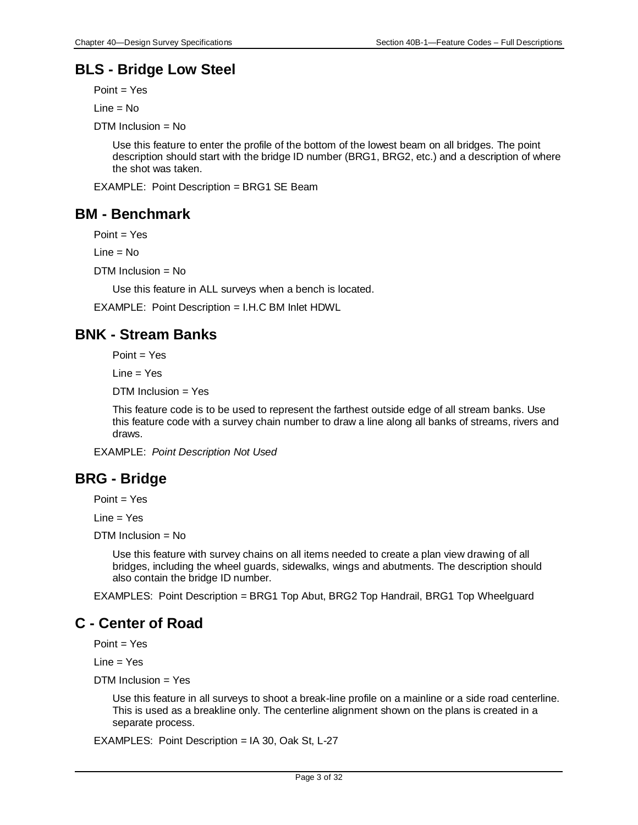# **BLS - Bridge Low Steel**

Point = Yes

 $Line = No$ 

DTM Inclusion = No

Use this feature to enter the profile of the bottom of the lowest beam on all bridges. The point description should start with the bridge ID number (BRG1, BRG2, etc.) and a description of where the shot was taken.

EXAMPLE: Point Description = BRG1 SE Beam

# **BM - Benchmark**

Point = Yes

Line = No

DTM Inclusion = No

Use this feature in ALL surveys when a bench is located.

EXAMPLE: Point Description = I.H.C BM Inlet HDWL

# **BNK - Stream Banks**

Point = Yes

Line = Yes

DTM Inclusion = Yes

This feature code is to be used to represent the farthest outside edge of all stream banks. Use this feature code with a survey chain number to draw a line along all banks of streams, rivers and draws.

EXAMPLE: *Point Description Not Used*

# **BRG - Bridge**

Point = Yes

Line = Yes

DTM Inclusion = No

Use this feature with survey chains on all items needed to create a plan view drawing of all bridges, including the wheel guards, sidewalks, wings and abutments. The description should also contain the bridge ID number.

EXAMPLES: Point Description = BRG1 Top Abut, BRG2 Top Handrail, BRG1 Top Wheelguard

# **C - Center of Road**

 $Point = Yes$ 

 $Line = Yes$ 

 $DTM$  Inclusion = Yes

Use this feature in all surveys to shoot a break-line profile on a mainline or a side road centerline. This is used as a breakline only. The centerline alignment shown on the plans is created in a separate process.

EXAMPLES: Point Description = IA 30, Oak St, L-27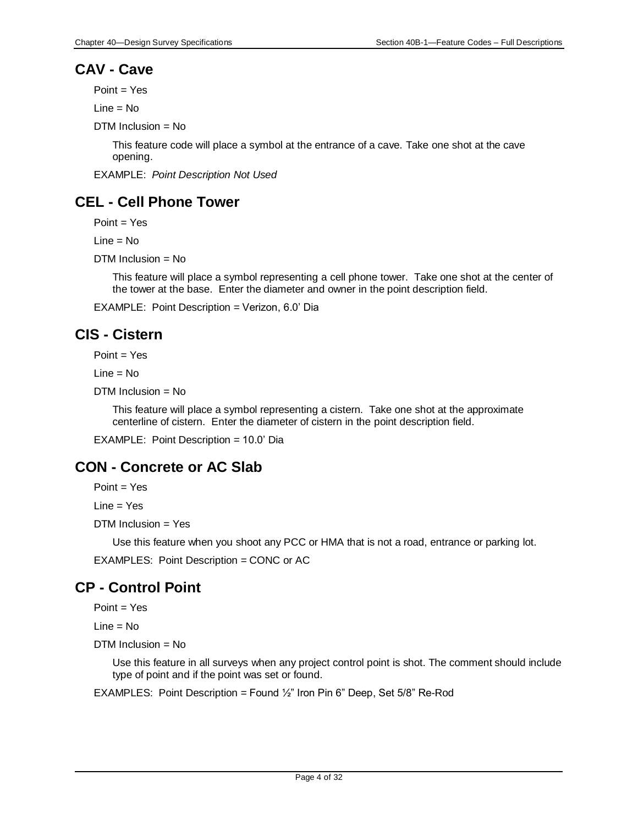# **CAV - Cave**

Point = Yes

 $Line = No$ 

DTM Inclusion = No

This feature code will place a symbol at the entrance of a cave. Take one shot at the cave opening.

EXAMPLE: *Point Description Not Used*

# **CEL - Cell Phone Tower**

Point = Yes

Line = No

DTM Inclusion = No

This feature will place a symbol representing a cell phone tower. Take one shot at the center of the tower at the base. Enter the diameter and owner in the point description field.

EXAMPLE: Point Description = Verizon, 6.0' Dia

# **CIS - Cistern**

Point = Yes

Line = No

DTM Inclusion = No

This feature will place a symbol representing a cistern. Take one shot at the approximate centerline of cistern. Enter the diameter of cistern in the point description field.

EXAMPLE: Point Description = 10.0' Dia

# **CON - Concrete or AC Slab**

Point = Yes

Line = Yes

DTM Inclusion = Yes

Use this feature when you shoot any PCC or HMA that is not a road, entrance or parking lot.

EXAMPLES: Point Description = CONC or AC

# **CP - Control Point**

Point = Yes

Line = No

 $DTM$  Inclusion = No

Use this feature in all surveys when any project control point is shot. The comment should include type of point and if the point was set or found.

EXAMPLES: Point Description = Found  $\frac{1}{2}$ " Iron Pin 6" Deep, Set 5/8" Re-Rod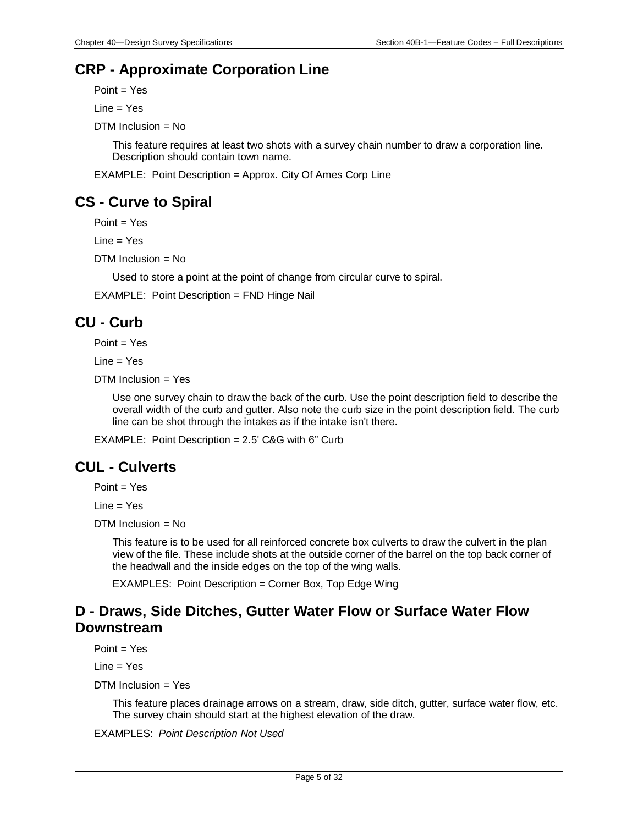# **CRP - Approximate Corporation Line**

Point = Yes

Line = Yes

DTM Inclusion = No

This feature requires at least two shots with a survey chain number to draw a corporation line. Description should contain town name.

EXAMPLE: Point Description = Approx. City Of Ames Corp Line

# **CS - Curve to Spiral**

Point = Yes

Line = Yes

DTM Inclusion = No

Used to store a point at the point of change from circular curve to spiral.

EXAMPLE: Point Description = FND Hinge Nail

# **CU - Curb**

Point = Yes

 $Line = Yes$ 

 $DTM$  Inclusion = Yes

Use one survey chain to draw the back of the curb. Use the point description field to describe the overall width of the curb and gutter. Also note the curb size in the point description field. The curb line can be shot through the intakes as if the intake isn't there.

EXAMPLE: Point Description = 2.5' C&G with 6" Curb

# **CUL - Culverts**

Point = Yes

Line = Yes

 $DTM$  Inclusion = No

This feature is to be used for all reinforced concrete box culverts to draw the culvert in the plan view of the file. These include shots at the outside corner of the barrel on the top back corner of the headwall and the inside edges on the top of the wing walls.

EXAMPLES: Point Description = Corner Box, Top Edge Wing

# **D - Draws, Side Ditches, Gutter Water Flow or Surface Water Flow Downstream**

Point = Yes

Line = Yes

DTM Inclusion = Yes

This feature places drainage arrows on a stream, draw, side ditch, gutter, surface water flow, etc. The survey chain should start at the highest elevation of the draw.

EXAMPLES: *Point Description Not Used*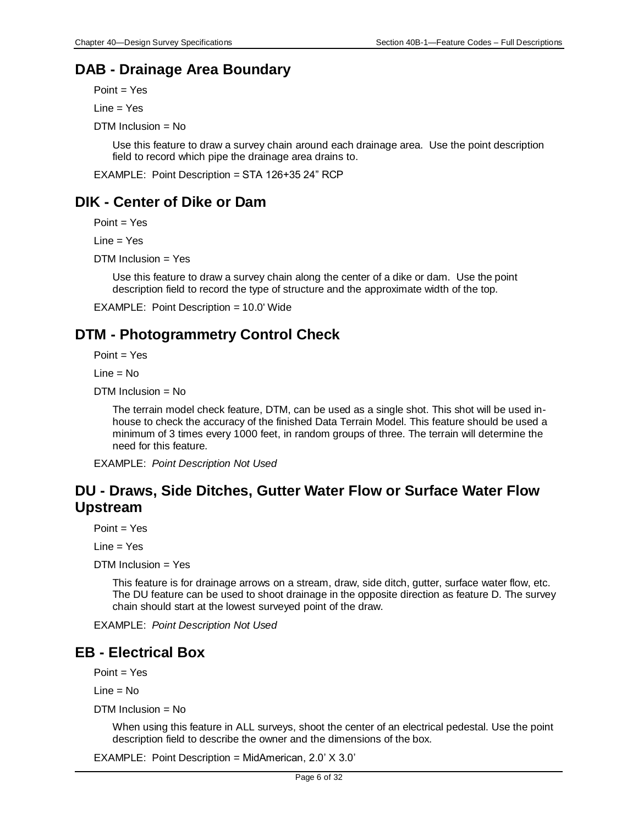### **DAB - Drainage Area Boundary**

Point = Yes

Line = Yes

DTM Inclusion = No

Use this feature to draw a survey chain around each drainage area. Use the point description field to record which pipe the drainage area drains to.

EXAMPLE: Point Description = STA 126+35 24" RCP

# **DIK - Center of Dike or Dam**

Point = Yes

 $Line = Yes$ 

DTM Inclusion = Yes

Use this feature to draw a survey chain along the center of a dike or dam. Use the point description field to record the type of structure and the approximate width of the top.

EXAMPLE: Point Description = 10.0' Wide

# **DTM - Photogrammetry Control Check**

Point = Yes

Line = No

DTM Inclusion = No

The terrain model check feature, DTM, can be used as a single shot. This shot will be used inhouse to check the accuracy of the finished Data Terrain Model. This feature should be used a minimum of 3 times every 1000 feet, in random groups of three. The terrain will determine the need for this feature.

EXAMPLE: *Point Description Not Used*

# **DU - Draws, Side Ditches, Gutter Water Flow or Surface Water Flow Upstream**

Point = Yes

Line = Yes

DTM Inclusion = Yes

This feature is for drainage arrows on a stream, draw, side ditch, gutter, surface water flow, etc. The DU feature can be used to shoot drainage in the opposite direction as feature D. The survey chain should start at the lowest surveyed point of the draw.

EXAMPLE: *Point Description Not Used*

#### **EB - Electrical Box**

 $Point = Yes$ 

 $Line = No$ 

 $DTM$  Inclusion = No

When using this feature in ALL surveys, shoot the center of an electrical pedestal. Use the point description field to describe the owner and the dimensions of the box.

EXAMPLE: Point Description = MidAmerican, 2.0' X 3.0'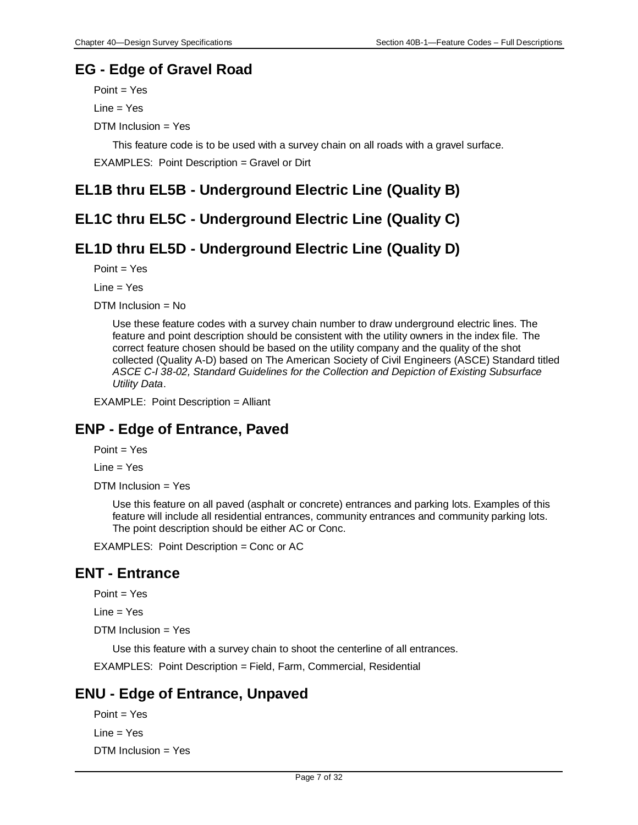### **EG - Edge of Gravel Road**

Point = Yes Line = Yes DTM Inclusion = Yes

This feature code is to be used with a survey chain on all roads with a gravel surface.

EXAMPLES: Point Description = Gravel or Dirt

# **EL1B thru EL5B - Underground Electric Line (Quality B)**

# **EL1C thru EL5C - Underground Electric Line (Quality C)**

# **EL1D thru EL5D - Underground Electric Line (Quality D)**

Point = Yes

Line = Yes

DTM Inclusion = No

Use these feature codes with a survey chain number to draw underground electric lines. The feature and point description should be consistent with the utility owners in the index file. The correct feature chosen should be based on the utility company and the quality of the shot collected (Quality A-D) based on The American Society of Civil Engineers (ASCE) Standard titled *ASCE C-I 38-02, Standard Guidelines for the Collection and Depiction of Existing Subsurface Utility Data*.

EXAMPLE: Point Description = Alliant

# **ENP - Edge of Entrance, Paved**

 $Point = Yes$ 

Line = Yes

DTM Inclusion = Yes

Use this feature on all paved (asphalt or concrete) entrances and parking lots. Examples of this feature will include all residential entrances, community entrances and community parking lots. The point description should be either AC or Conc.

EXAMPLES: Point Description = Conc or AC

# **ENT - Entrance**

 $Point = Yes$ 

 $Line = Yes$ 

DTM Inclusion = Yes

Use this feature with a survey chain to shoot the centerline of all entrances.

EXAMPLES: Point Description = Field, Farm, Commercial, Residential

# **ENU - Edge of Entrance, Unpaved**

```
Point = Yes
Line = Yes
DTM Inclusion = Yes
```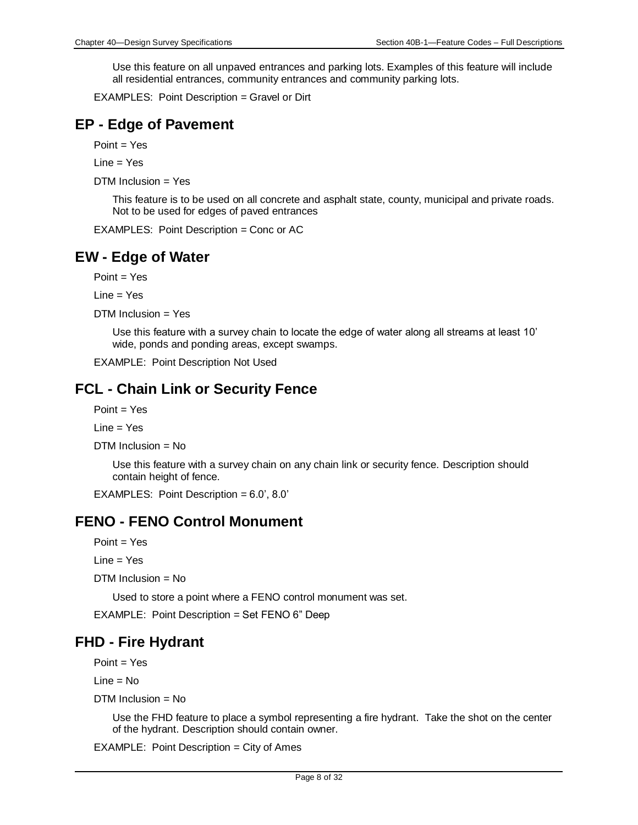Use this feature on all unpaved entrances and parking lots. Examples of this feature will include all residential entrances, community entrances and community parking lots.

EXAMPLES: Point Description = Gravel or Dirt

### **EP - Edge of Pavement**

Point = Yes

 $Line = Yes$ 

DTM Inclusion = Yes

This feature is to be used on all concrete and asphalt state, county, municipal and private roads. Not to be used for edges of paved entrances

EXAMPLES: Point Description = Conc or AC

# **EW - Edge of Water**

Point = Yes

Line = Yes

DTM Inclusion = Yes

Use this feature with a survey chain to locate the edge of water along all streams at least 10' wide, ponds and ponding areas, except swamps.

EXAMPLE: Point Description Not Used

### **FCL - Chain Link or Security Fence**

Point = Yes

 $Line = Yes$ 

DTM Inclusion = No

Use this feature with a survey chain on any chain link or security fence. Description should contain height of fence.

EXAMPLES: Point Description = 6.0', 8.0'

#### **FENO - FENO Control Monument**

Point = Yes

Line = Yes

DTM Inclusion = No

Used to store a point where a FENO control monument was set.

EXAMPLE: Point Description = Set FENO 6" Deep

#### **FHD - Fire Hydrant**

Point = Yes

Line = No

DTM Inclusion = No

Use the FHD feature to place a symbol representing a fire hydrant. Take the shot on the center of the hydrant. Description should contain owner.

EXAMPLE: Point Description = City of Ames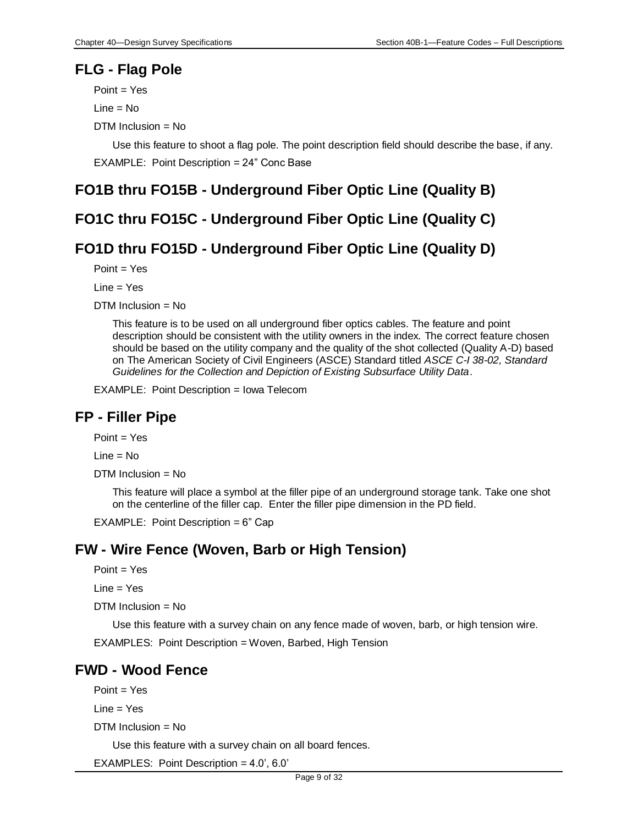#### **FLG - Flag Pole**

Point = Yes  $Line = No$ 

DTM Inclusion = No

Use this feature to shoot a flag pole. The point description field should describe the base, if any. EXAMPLE: Point Description = 24" Conc Base

# **FO1B thru FO15B - Underground Fiber Optic Line (Quality B)**

# **FO1C thru FO15C - Underground Fiber Optic Line (Quality C)**

# **FO1D thru FO15D - Underground Fiber Optic Line (Quality D)**

Point = Yes

Line = Yes

DTM Inclusion = No

This feature is to be used on all underground fiber optics cables. The feature and point description should be consistent with the utility owners in the index. The correct feature chosen should be based on the utility company and the quality of the shot collected (Quality A-D) based on The American Society of Civil Engineers (ASCE) Standard titled *ASCE C-I 38-02, Standard Guidelines for the Collection and Depiction of Existing Subsurface Utility Data*.

EXAMPLE: Point Description = Iowa Telecom

# **FP - Filler Pipe**

Point = Yes

 $Line = No$ 

 $DTM$  Inclusion = No

This feature will place a symbol at the filler pipe of an underground storage tank. Take one shot on the centerline of the filler cap. Enter the filler pipe dimension in the PD field.

EXAMPLE: Point Description = 6" Cap

# **FW - Wire Fence (Woven, Barb or High Tension)**

 $Point = Yes$ 

Line = Yes

DTM Inclusion = No

Use this feature with a survey chain on any fence made of woven, barb, or high tension wire.

EXAMPLES: Point Description = Woven, Barbed, High Tension

#### **FWD - Wood Fence**

 $Point = Yes$ 

Line = Yes

DTM Inclusion = No

Use this feature with a survey chain on all board fences.

EXAMPLES: Point Description = 4.0', 6.0'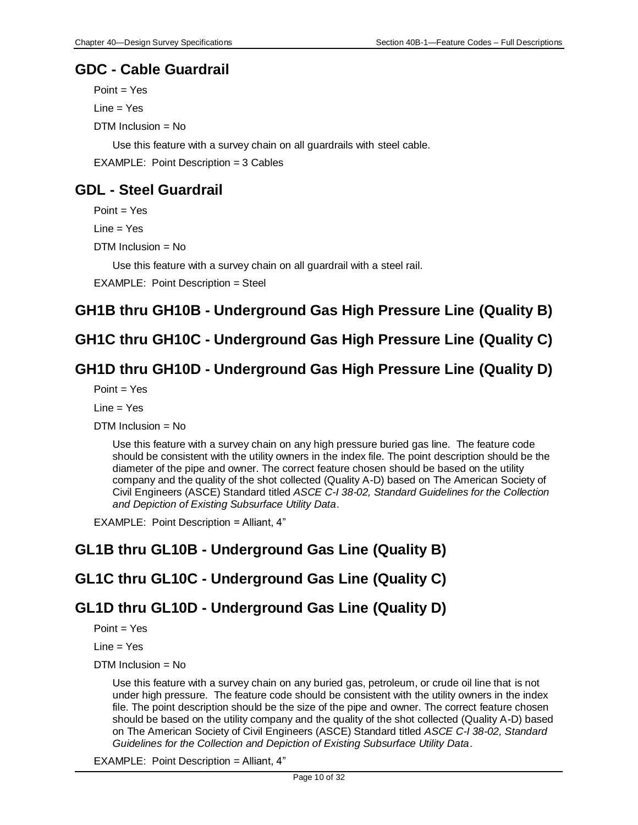### **GDC - Cable Guardrail**

Point = Yes

Line = Yes

DTM Inclusion = No

Use this feature with a survey chain on all guardrails with steel cable.

EXAMPLE: Point Description = 3 Cables

# <span id="page-9-0"></span>**GDL - Steel Guardrail**

 $Point = Yes$ 

Line = Yes

DTM Inclusion = No

Use this feature with a survey chain on all guardrail with a steel rail.

EXAMPLE: Point Description = Steel

# **GH1B thru GH10B - Underground Gas High Pressure Line (Quality B)**

# **GH1C thru GH10C - Underground Gas High Pressure Line (Quality C)**

### **GH1D thru GH10D - Underground Gas High Pressure Line (Quality D)**

 $Point = Yes$ 

Line = Yes

DTM Inclusion = No

Use this feature with a survey chain on any high pressure buried gas line. The feature code should be consistent with the utility owners in the index file. The point description should be the diameter of the pipe and owner. The correct feature chosen should be based on the utility company and the quality of the shot collected (Quality A-D) based on The American Society of Civil Engineers (ASCE) Standard titled *ASCE C-I 38-02, Standard Guidelines for the Collection and Depiction of Existing Subsurface Utility Data*.

EXAMPLE: Point Description = Alliant, 4"

# **GL1B thru GL10B - Underground Gas Line (Quality B)**

# **GL1C thru GL10C - Underground Gas Line (Quality C)**

# **GL1D thru GL10D - Underground Gas Line (Quality D)**

 $Point = Yes$ 

Line = Yes

DTM Inclusion = No

Use this feature with a survey chain on any buried gas, petroleum, or crude oil line that is not under high pressure. The feature code should be consistent with the utility owners in the index file. The point description should be the size of the pipe and owner. The correct feature chosen should be based on the utility company and the quality of the shot collected (Quality A-D) based on The American Society of Civil Engineers (ASCE) Standard titled *ASCE C-I 38-02, Standard Guidelines for the Collection and Depiction of Existing Subsurface Utility Data*.

EXAMPLE: Point Description = Alliant, 4"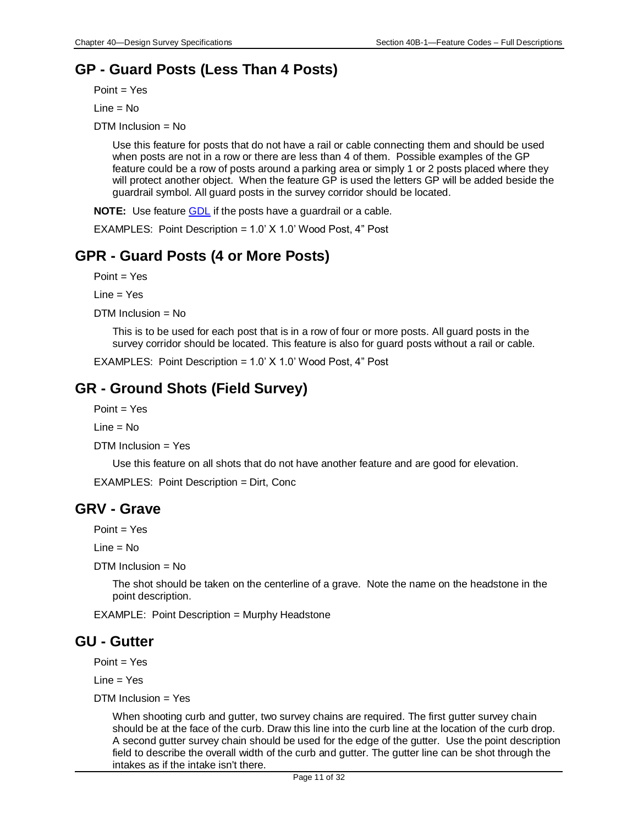# **GP - Guard Posts (Less Than 4 Posts)**

Point = Yes

 $Line = No$ 

DTM Inclusion = No

Use this feature for posts that do not have a rail or cable connecting them and should be used when posts are not in a row or there are less than 4 of them. Possible examples of the GP feature could be a row of posts around a parking area or simply 1 or 2 posts placed where they will protect another object. When the feature GP is used the letters GP will be added beside the guardrail symbol. All guard posts in the survey corridor should be located.

**NOTE:** Use feature [GDL](#page-9-0) if the posts have a guardrail or a cable.

EXAMPLES: Point Description = 1.0' X 1.0' Wood Post, 4" Post

# **GPR - Guard Posts (4 or More Posts)**

Point = Yes

 $Line = Yes$ 

DTM Inclusion = No

This is to be used for each post that is in a row of four or more posts. All guard posts in the survey corridor should be located. This feature is also for guard posts without a rail or cable.

EXAMPLES: Point Description = 1.0' X 1.0' Wood Post, 4" Post

# **GR - Ground Shots (Field Survey)**

 $Point = Yes$ 

 $Line = No$ 

DTM Inclusion = Yes

Use this feature on all shots that do not have another feature and are good for elevation.

EXAMPLES: Point Description = Dirt, Conc

#### **GRV - Grave**

 $Point = Yes$ 

 $Line = No$ 

DTM Inclusion = No

The shot should be taken on the centerline of a grave. Note the name on the headstone in the point description.

EXAMPLE: Point Description = Murphy Headstone

# **GU - Gutter**

 $Point = Yes$ 

 $Line = Yes$ 

DTM Inclusion = Yes

When shooting curb and gutter, two survey chains are required. The first gutter survey chain should be at the face of the curb. Draw this line into the curb line at the location of the curb drop. A second gutter survey chain should be used for the edge of the gutter. Use the point description field to describe the overall width of the curb and gutter. The gutter line can be shot through the intakes as if the intake isn't there.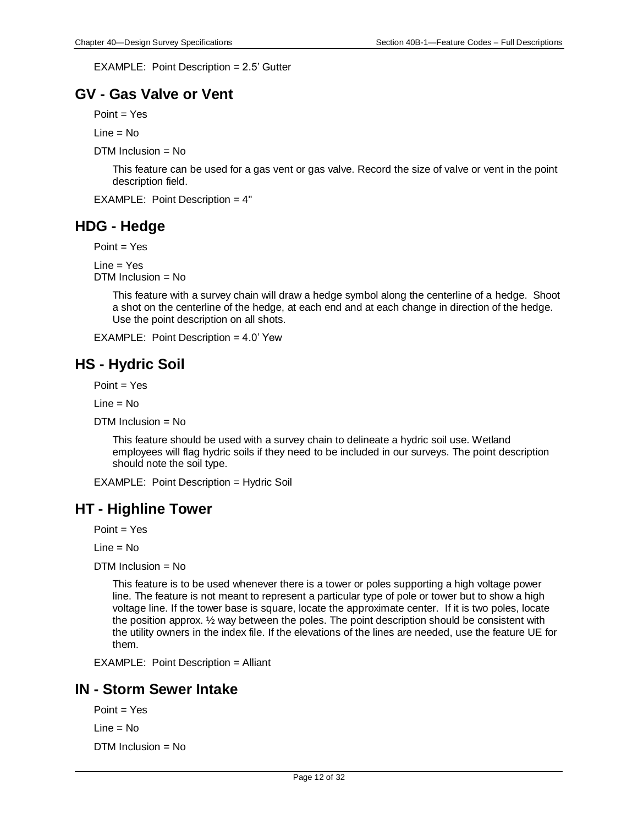EXAMPLE: Point Description = 2.5' Gutter

### **GV - Gas Valve or Vent**

 $Point = Yes$ 

 $Line = No$ 

DTM Inclusion = No

This feature can be used for a gas vent or gas valve. Record the size of valve or vent in the point description field.

EXAMPLE: Point Description = 4"

### **HDG - Hedge**

Point = Yes

 $Line = Yes$ DTM Inclusion = No

> This feature with a survey chain will draw a hedge symbol along the centerline of a hedge. Shoot a shot on the centerline of the hedge, at each end and at each change in direction of the hedge. Use the point description on all shots.

EXAMPLE: Point Description = 4.0' Yew

# **HS - Hydric Soil**

Point = Yes

 $Line = No$ 

DTM Inclusion = No

This feature should be used with a survey chain to delineate a hydric soil use. Wetland employees will flag hydric soils if they need to be included in our surveys. The point description should note the soil type.

EXAMPLE: Point Description = Hydric Soil

#### **HT - Highline Tower**

 $Point = Yes$ 

 $Line = No$ 

 $DTM$  Inclusion = No

This feature is to be used whenever there is a tower or poles supporting a high voltage power line. The feature is not meant to represent a particular type of pole or tower but to show a high voltage line. If the tower base is square, locate the approximate center. If it is two poles, locate the position approx. ½ way between the poles. The point description should be consistent with the utility owners in the index file. If the elevations of the lines are needed, use the feature UE for them.

EXAMPLE: Point Description = Alliant

#### **IN - Storm Sewer Intake**

Point = Yes

Line = No

 $DTM$  Inclusion = No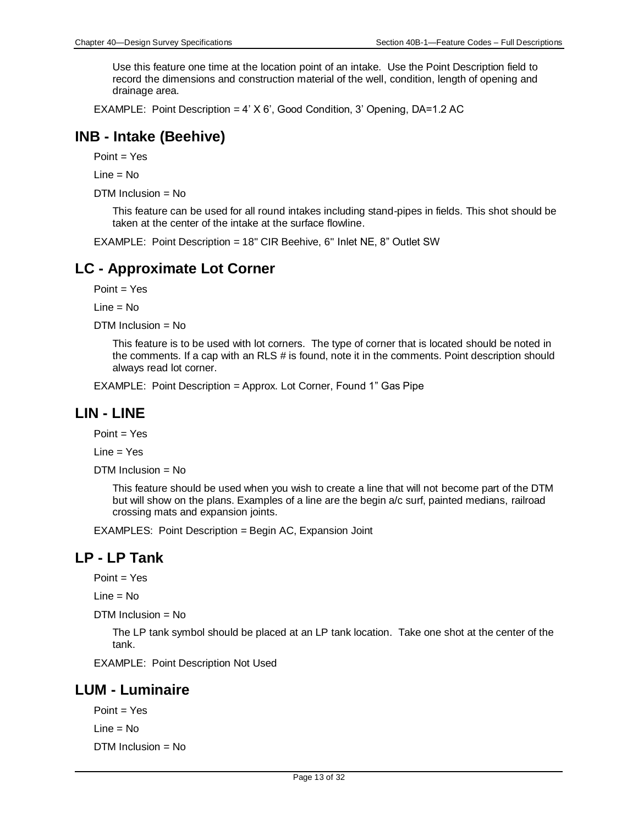Use this feature one time at the location point of an intake. Use the Point Description field to record the dimensions and construction material of the well, condition, length of opening and drainage area.

EXAMPLE: Point Description =  $4'$  X 6', Good Condition, 3' Opening, DA=1.2 AC

### **INB - Intake (Beehive)**

Point = Yes

Line = No

DTM Inclusion = No

This feature can be used for all round intakes including stand-pipes in fields. This shot should be taken at the center of the intake at the surface flowline.

EXAMPLE: Point Description = 18" CIR Beehive, 6" Inlet NE, 8" Outlet SW

#### **LC - Approximate Lot Corner**

 $Point = Yes$ 

Line = No

DTM Inclusion = No

This feature is to be used with lot corners. The type of corner that is located should be noted in the comments. If a cap with an RLS # is found, note it in the comments. Point description should always read lot corner.

EXAMPLE: Point Description = Approx. Lot Corner, Found 1" Gas Pipe

#### **LIN - LINE**

Point = Yes

Line = Yes

DTM Inclusion = No

This feature should be used when you wish to create a line that will not become part of the DTM but will show on the plans. Examples of a line are the begin a/c surf, painted medians, railroad crossing mats and expansion joints.

EXAMPLES: Point Description = Begin AC, Expansion Joint

#### **LP - LP Tank**

Point = Yes

Line = No

DTM Inclusion = No

The LP tank symbol should be placed at an LP tank location. Take one shot at the center of the tank.

EXAMPLE: Point Description Not Used

#### **LUM - Luminaire**

 $Point = Yes$ 

Line = No

DTM Inclusion = No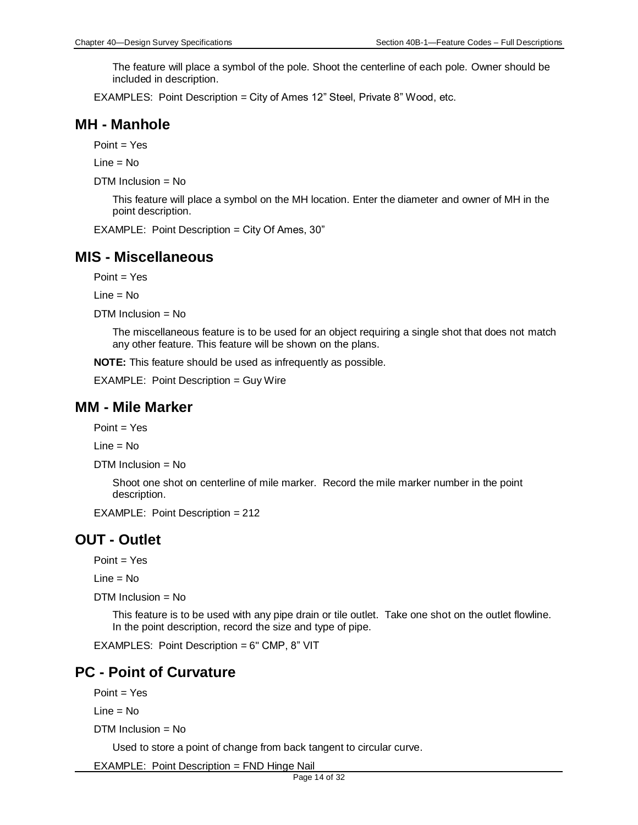The feature will place a symbol of the pole. Shoot the centerline of each pole. Owner should be included in description.

EXAMPLES: Point Description = City of Ames 12" Steel, Private 8" Wood, etc.

#### **MH - Manhole**

Point = Yes

 $Line = No$ 

DTM Inclusion = No

This feature will place a symbol on the MH location. Enter the diameter and owner of MH in the point description.

EXAMPLE: Point Description = City Of Ames, 30"

#### **MIS - Miscellaneous**

Point = Yes

Line = No

 $DTM$  Inclusion = No

The miscellaneous feature is to be used for an object requiring a single shot that does not match any other feature. This feature will be shown on the plans.

**NOTE:** This feature should be used as infrequently as possible.

EXAMPLE: Point Description = Guy Wire

#### **MM - Mile Marker**

 $Point = Yes$ 

 $Line = No$ 

```
DTM Inclusion = No
```
Shoot one shot on centerline of mile marker. Record the mile marker number in the point description.

EXAMPLE: Point Description = 212

#### **OUT - Outlet**

Point = Yes

 $Line = No$ 

DTM Inclusion = No

This feature is to be used with any pipe drain or tile outlet. Take one shot on the outlet flowline. In the point description, record the size and type of pipe.

EXAMPLES: Point Description = 6" CMP, 8" VIT

#### **PC - Point of Curvature**

Point = Yes

Line = No

 $DTM$  Inclusion = No

Used to store a point of change from back tangent to circular curve.

EXAMPLE: Point Description = FND Hinge Nail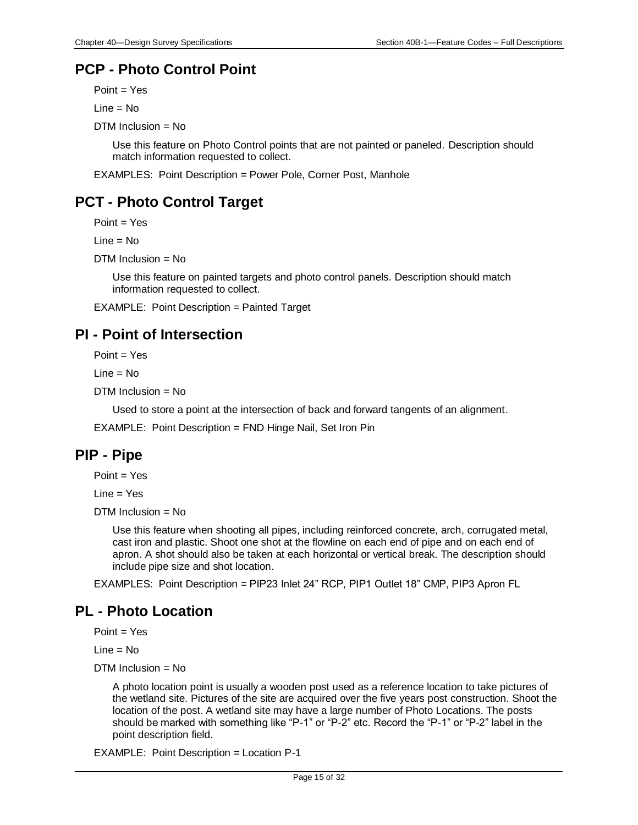# **PCP - Photo Control Point**

Point = Yes

 $Line = No$ 

DTM Inclusion = No

Use this feature on Photo Control points that are not painted or paneled. Description should match information requested to collect.

EXAMPLES: Point Description = Power Pole, Corner Post, Manhole

# **PCT - Photo Control Target**

Point = Yes

Line = No

DTM Inclusion = No

Use this feature on painted targets and photo control panels. Description should match information requested to collect.

EXAMPLE: Point Description = Painted Target

# **PI - Point of Intersection**

Point = Yes

Line = No

DTM Inclusion = No

Used to store a point at the intersection of back and forward tangents of an alignment.

EXAMPLE: Point Description = FND Hinge Nail, Set Iron Pin

#### **PIP - Pipe**

Point = Yes

 $Line = Yes$ 

 $DTM$  Inclusion = No

Use this feature when shooting all pipes, including reinforced concrete, arch, corrugated metal, cast iron and plastic. Shoot one shot at the flowline on each end of pipe and on each end of apron. A shot should also be taken at each horizontal or vertical break. The description should include pipe size and shot location.

EXAMPLES: Point Description = PIP23 Inlet 24" RCP, PIP1 Outlet 18" CMP, PIP3 Apron FL

# **PL - Photo Location**

Point = Yes

Line = No

DTM Inclusion = No

A photo location point is usually a wooden post used as a reference location to take pictures of the wetland site. Pictures of the site are acquired over the five years post construction. Shoot the location of the post. A wetland site may have a large number of Photo Locations. The posts should be marked with something like "P-1" or "P-2" etc. Record the "P-1" or "P-2" label in the point description field.

EXAMPLE: Point Description = Location P-1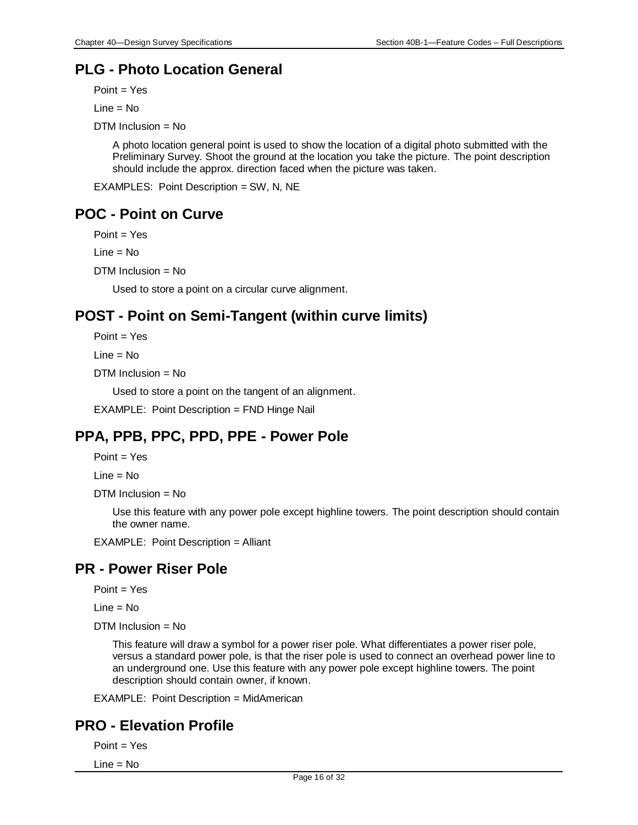# **PLG - Photo Location General**

Point = Yes

 $Line = No$ 

DTM Inclusion = No

A photo location general point is used to show the location of a digital photo submitted with the Preliminary Survey. Shoot the ground at the location you take the picture. The point description should include the approx. direction faced when the picture was taken.

EXAMPLES: Point Description = SW, N, NE

# **POC - Point on Curve**

Point = Yes

Line = No

DTM Inclusion = No

Used to store a point on a circular curve alignment.

# **POST - Point on Semi-Tangent (within curve limits)**

Point = Yes

Line = No

DTM Inclusion = No

Used to store a point on the tangent of an alignment.

EXAMPLE: Point Description = FND Hinge Nail

# **PPA, PPB, PPC, PPD, PPE - Power Pole**

Point = Yes

Line = No

DTM Inclusion = No

Use this feature with any power pole except highline towers. The point description should contain the owner name.

EXAMPLE: Point Description = Alliant

# **PR - Power Riser Pole**

 $Point = Yes$ 

Line = No

 $DTM$  Inclusion = No

This feature will draw a symbol for a power riser pole. What differentiates a power riser pole, versus a standard power pole, is that the riser pole is used to connect an overhead power line to an underground one. Use this feature with any power pole except highline towers. The point description should contain owner, if known.

EXAMPLE: Point Description = MidAmerican

# **PRO - Elevation Profile**

Point = Yes

Line = No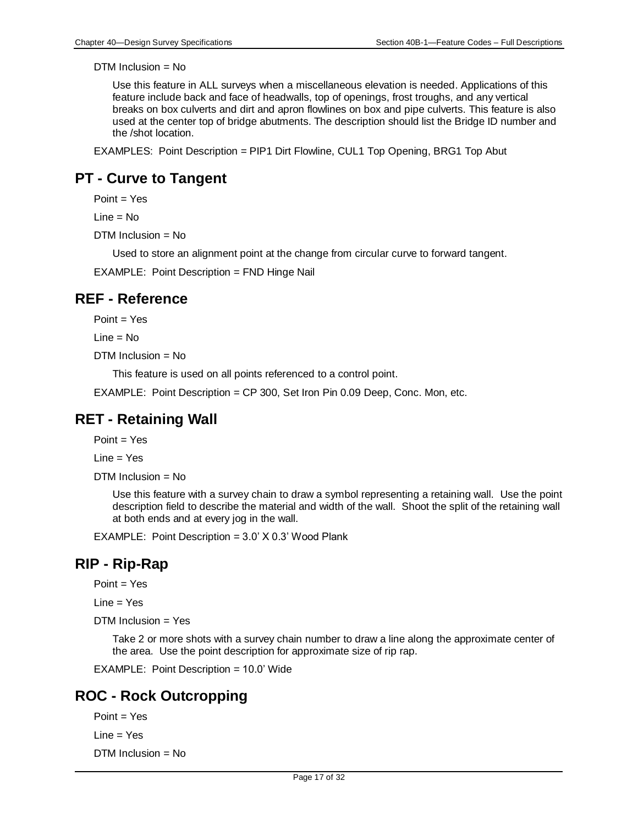Use this feature in ALL surveys when a miscellaneous elevation is needed. Applications of this feature include back and face of headwalls, top of openings, frost troughs, and any vertical breaks on box culverts and dirt and apron flowlines on box and pipe culverts. This feature is also used at the center top of bridge abutments. The description should list the Bridge ID number and the /shot location.

EXAMPLES: Point Description = PIP1 Dirt Flowline, CUL1 Top Opening, BRG1 Top Abut

### **PT - Curve to Tangent**

 $Point = Yes$ 

Line = No

DTM Inclusion = No

Used to store an alignment point at the change from circular curve to forward tangent.

EXAMPLE: Point Description = FND Hinge Nail

### **REF - Reference**

 $Point = Yes$ 

 $Line = No$ 

 $DTM$  Inclusion = No

This feature is used on all points referenced to a control point.

EXAMPLE: Point Description = CP 300, Set Iron Pin 0.09 Deep, Conc. Mon, etc.

#### **RET - Retaining Wall**

Point = Yes

Line = Yes

DTM Inclusion = No

Use this feature with a survey chain to draw a symbol representing a retaining wall. Use the point description field to describe the material and width of the wall. Shoot the split of the retaining wall at both ends and at every jog in the wall.

EXAMPLE: Point Description = 3.0' X 0.3' Wood Plank

#### **RIP - Rip-Rap**

Point = Yes

 $Line = Yes$ 

DTM Inclusion = Yes

Take 2 or more shots with a survey chain number to draw a line along the approximate center of the area. Use the point description for approximate size of rip rap.

EXAMPLE: Point Description = 10.0' Wide

# **ROC - Rock Outcropping**

Point = Yes

Line = Yes

DTM Inclusion = No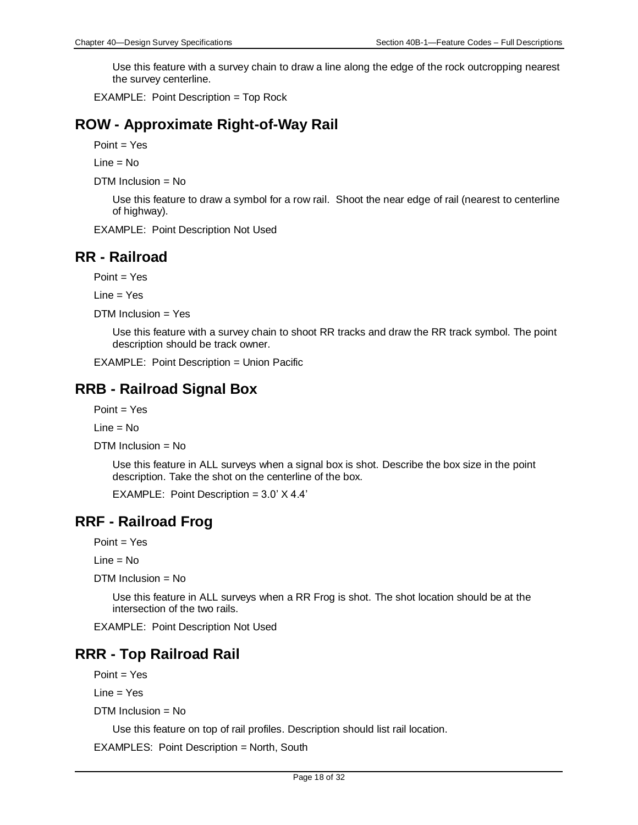Use this feature with a survey chain to draw a line along the edge of the rock outcropping nearest the survey centerline.

EXAMPLE: Point Description = Top Rock

# **ROW - Approximate Right-of-Way Rail**

Point = Yes

 $Line = No$ 

DTM Inclusion = No

Use this feature to draw a symbol for a row rail. Shoot the near edge of rail (nearest to centerline of highway).

EXAMPLE: Point Description Not Used

### **RR - Railroad**

Point = Yes

Line = Yes

DTM Inclusion = Yes

Use this feature with a survey chain to shoot RR tracks and draw the RR track symbol. The point description should be track owner.

EXAMPLE: Point Description = Union Pacific

# **RRB - Railroad Signal Box**

Point = Yes

 $Line = No$ 

DTM Inclusion = No

Use this feature in ALL surveys when a signal box is shot. Describe the box size in the point description. Take the shot on the centerline of the box.

EXAMPLE: Point Description = 3.0' X 4.4'

#### **RRF - Railroad Frog**

Point = Yes

Line = No

DTM Inclusion = No

Use this feature in ALL surveys when a RR Frog is shot. The shot location should be at the intersection of the two rails.

EXAMPLE: Point Description Not Used

# **RRR - Top Railroad Rail**

 $Point = Yes$ 

Line = Yes

DTM Inclusion = No

Use this feature on top of rail profiles. Description should list rail location.

EXAMPLES: Point Description = North, South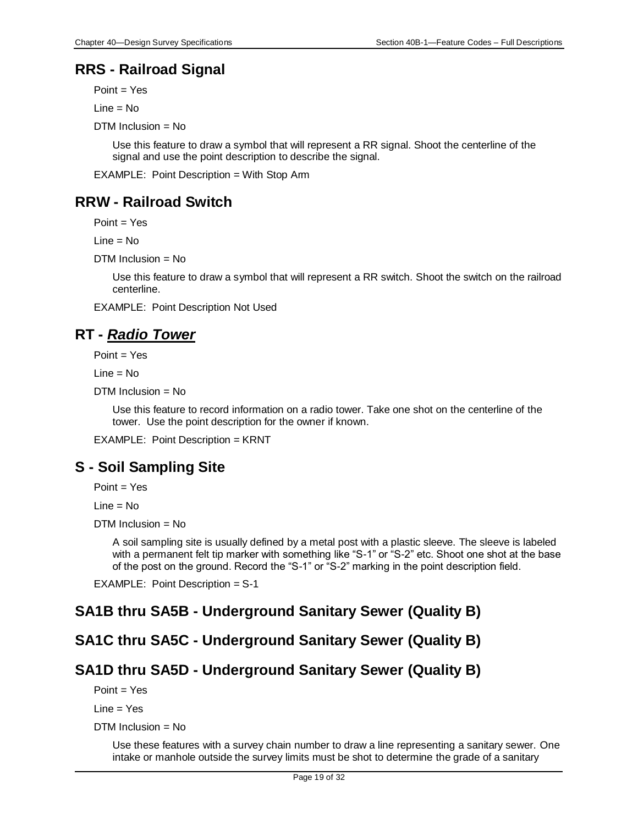# **RRS - Railroad Signal**

Point = Yes

 $Line = No$ 

DTM Inclusion = No

Use this feature to draw a symbol that will represent a RR signal. Shoot the centerline of the signal and use the point description to describe the signal.

EXAMPLE: Point Description = With Stop Arm

# **RRW - Railroad Switch**

Point = Yes

Line = No

DTM Inclusion = No

Use this feature to draw a symbol that will represent a RR switch. Shoot the switch on the railroad centerline.

EXAMPLE: Point Description Not Used

# **RT -** *Radio Tower*

Point = Yes

Line = No

DTM Inclusion = No

Use this feature to record information on a radio tower. Take one shot on the centerline of the tower. Use the point description for the owner if known.

EXAMPLE: Point Description = KRNT

# **S - Soil Sampling Site**

Point = Yes

Line = No

 $DTM$  Inclusion = No

A soil sampling site is usually defined by a metal post with a plastic sleeve. The sleeve is labeled with a permanent felt tip marker with something like "S-1" or "S-2" etc. Shoot one shot at the base of the post on the ground. Record the "S-1" or "S-2" marking in the point description field.

EXAMPLE: Point Description = S-1

# **SA1B thru SA5B - Underground Sanitary Sewer (Quality B)**

# **SA1C thru SA5C - Underground Sanitary Sewer (Quality B)**

# **SA1D thru SA5D - Underground Sanitary Sewer (Quality B)**

 $Point = Yes$ 

Line = Yes

 $DTM$  Inclusion = No

Use these features with a survey chain number to draw a line representing a sanitary sewer. One intake or manhole outside the survey limits must be shot to determine the grade of a sanitary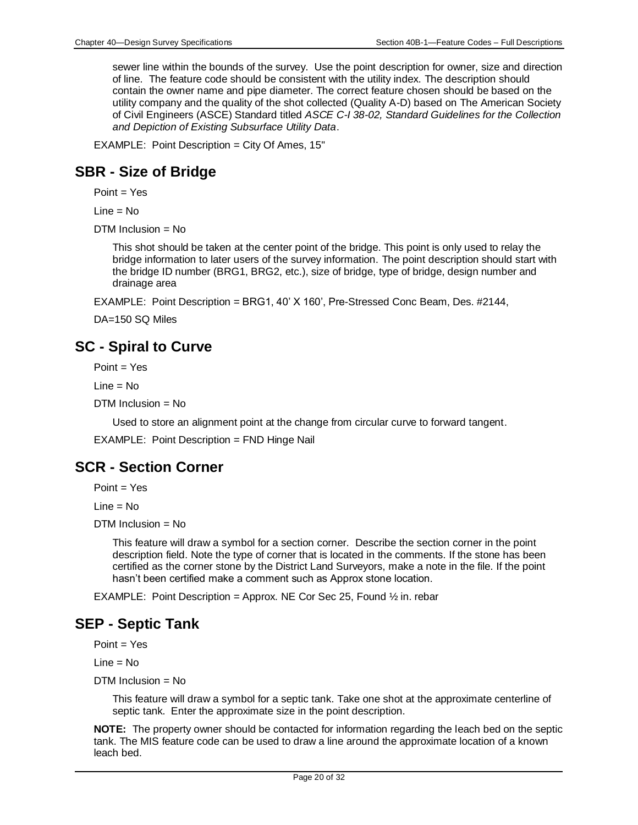sewer line within the bounds of the survey. Use the point description for owner, size and direction of line. The feature code should be consistent with the utility index. The description should contain the owner name and pipe diameter. The correct feature chosen should be based on the utility company and the quality of the shot collected (Quality A-D) based on The American Society of Civil Engineers (ASCE) Standard titled *ASCE C-I 38-02, Standard Guidelines for the Collection and Depiction of Existing Subsurface Utility Data*.

EXAMPLE: Point Description = City Of Ames, 15"

#### **SBR - Size of Bridge**

Point = Yes

 $Line = No$ 

 $DTM$  Inclusion = No

This shot should be taken at the center point of the bridge. This point is only used to relay the bridge information to later users of the survey information. The point description should start with the bridge ID number (BRG1, BRG2, etc.), size of bridge, type of bridge, design number and drainage area

EXAMPLE: Point Description = BRG1, 40' X 160', Pre-Stressed Conc Beam, Des. #2144,

DA=150 SQ Miles

#### **SC - Spiral to Curve**

Point = Yes

Line = No

DTM Inclusion = No

Used to store an alignment point at the change from circular curve to forward tangent.

EXAMPLE: Point Description = FND Hinge Nail

#### **SCR - Section Corner**

 $Point = Yes$ 

Line = No

DTM Inclusion = No

This feature will draw a symbol for a section corner. Describe the section corner in the point description field. Note the type of corner that is located in the comments. If the stone has been certified as the corner stone by the District Land Surveyors, make a note in the file. If the point hasn't been certified make a comment such as Approx stone location.

EXAMPLE: Point Description = Approx. NE Cor Sec 25, Found  $\frac{1}{2}$  in. rebar

# **SEP - Septic Tank**

 $Point = Yes$ 

 $Line = No$ 

DTM Inclusion = No

This feature will draw a symbol for a septic tank. Take one shot at the approximate centerline of septic tank. Enter the approximate size in the point description.

**NOTE:** The property owner should be contacted for information regarding the leach bed on the septic tank. The MIS feature code can be used to draw a line around the approximate location of a known leach bed.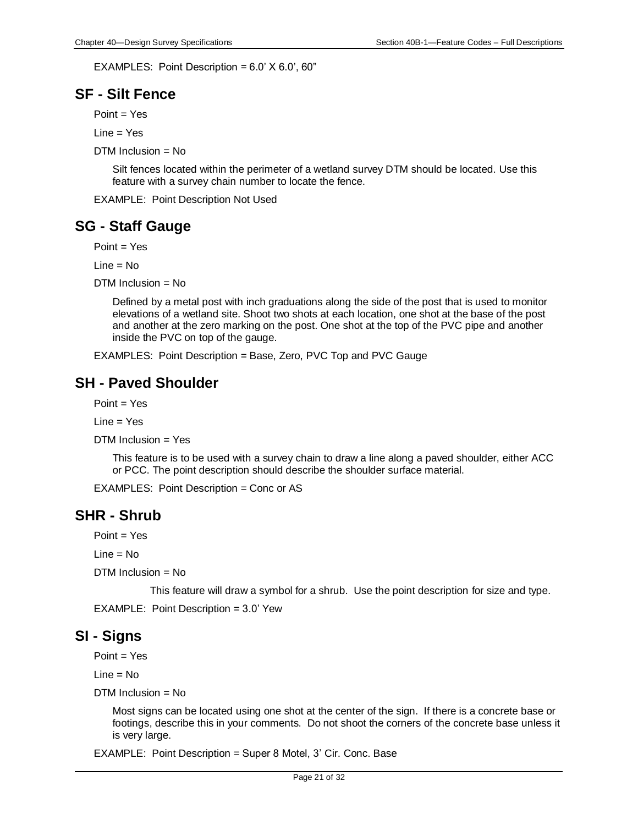EXAMPLES: Point Description = 6.0' X 6.0', 60"

### **SF - Silt Fence**

 $Point = Yes$ 

Line = Yes

DTM Inclusion = No

Silt fences located within the perimeter of a wetland survey DTM should be located. Use this feature with a survey chain number to locate the fence.

EXAMPLE: Point Description Not Used

# **SG - Staff Gauge**

Point = Yes

 $Line = No$ 

DTM Inclusion  $=$  No

Defined by a metal post with inch graduations along the side of the post that is used to monitor elevations of a wetland site. Shoot two shots at each location, one shot at the base of the post and another at the zero marking on the post. One shot at the top of the PVC pipe and another inside the PVC on top of the gauge.

EXAMPLES: Point Description = Base, Zero, PVC Top and PVC Gauge

# **SH - Paved Shoulder**

 $Point = Yes$ 

Line = Yes

DTM Inclusion = Yes

This feature is to be used with a survey chain to draw a line along a paved shoulder, either ACC or PCC. The point description should describe the shoulder surface material.

EXAMPLES: Point Description = Conc or AS

#### **SHR - Shrub**

Point = Yes

 $Line = No$ 

DTM Inclusion = No

This feature will draw a symbol for a shrub. Use the point description for size and type.

EXAMPLE: Point Description = 3.0' Yew

#### **SI - Signs**

Point = Yes

 $Line = No$ 

 $DTM$  Inclusion = No

Most signs can be located using one shot at the center of the sign. If there is a concrete base or footings, describe this in your comments. Do not shoot the corners of the concrete base unless it is very large.

EXAMPLE: Point Description = Super 8 Motel, 3' Cir. Conc. Base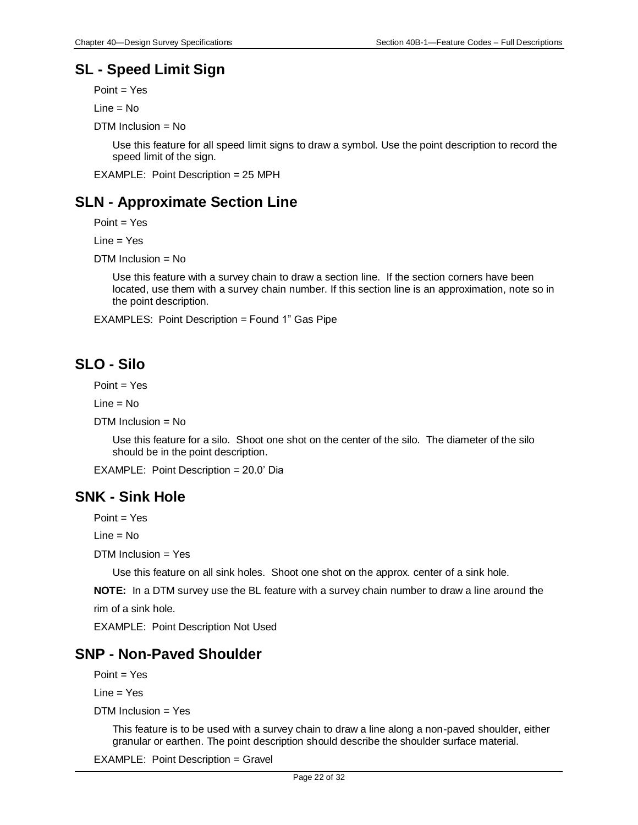# **SL - Speed Limit Sign**

Point = Yes

 $Line = No$ 

DTM Inclusion = No

Use this feature for all speed limit signs to draw a symbol. Use the point description to record the speed limit of the sign.

EXAMPLE: Point Description = 25 MPH

# **SLN - Approximate Section Line**

Point = Yes

 $Line = Yes$ 

DTM Inclusion = No

Use this feature with a survey chain to draw a section line. If the section corners have been located, use them with a survey chain number. If this section line is an approximation, note so in the point description.

EXAMPLES: Point Description = Found 1" Gas Pipe

# **SLO - Silo**

Point = Yes

 $Line = No$ 

DTM Inclusion = No

Use this feature for a silo. Shoot one shot on the center of the silo. The diameter of the silo should be in the point description.

EXAMPLE: Point Description = 20.0' Dia

#### **SNK - Sink Hole**

Point = Yes

Line = No

DTM Inclusion = Yes

Use this feature on all sink holes. Shoot one shot on the approx. center of a sink hole.

**NOTE:** In a DTM survey use the BL feature with a survey chain number to draw a line around the rim of a sink hole.

EXAMPLE: Point Description Not Used

### **SNP - Non-Paved Shoulder**

 $Point = Yes$ 

Line = Yes

DTM Inclusion = Yes

This feature is to be used with a survey chain to draw a line along a non-paved shoulder, either granular or earthen. The point description should describe the shoulder surface material.

EXAMPLE: Point Description = Gravel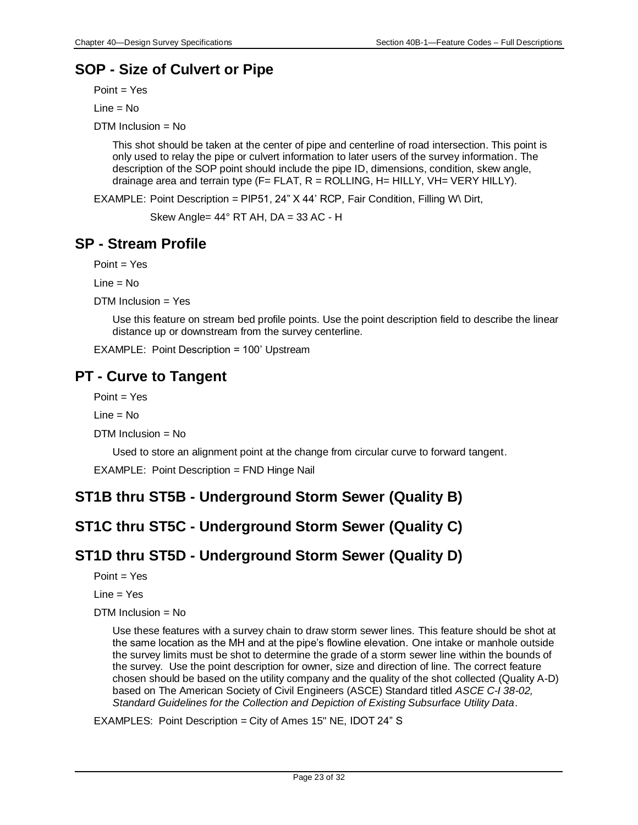# **SOP - Size of Culvert or Pipe**

Point = Yes

 $Line = No$ 

DTM Inclusion = No

This shot should be taken at the center of pipe and centerline of road intersection. This point is only used to relay the pipe or culvert information to later users of the survey information. The description of the SOP point should include the pipe ID, dimensions, condition, skew angle, drainage area and terrain type  $(F = FLAT, R = ROLLING, H = HILLY, VH = VERY HILLY).$ 

EXAMPLE: Point Description = PIP51, 24" X 44' RCP, Fair Condition, Filling W\ Dirt,

Skew Angle=  $44^{\circ}$  RT AH, DA = 33 AC - H

# **SP - Stream Profile**

 $Point = Yes$ 

 $Line = No$ 

 $DTM$  Inclusion = Yes

Use this feature on stream bed profile points. Use the point description field to describe the linear distance up or downstream from the survey centerline.

EXAMPLE: Point Description = 100' Upstream

# **PT - Curve to Tangent**

Point = Yes

 $Line = No$ 

DTM Inclusion = No

Used to store an alignment point at the change from circular curve to forward tangent.

EXAMPLE: Point Description = FND Hinge Nail

# **ST1B thru ST5B - Underground Storm Sewer (Quality B)**

# **ST1C thru ST5C - Underground Storm Sewer (Quality C)**

# **ST1D thru ST5D - Underground Storm Sewer (Quality D)**

 $Point = Yes$ 

 $Line = Yes$ 

DTM Inclusion = No

Use these features with a survey chain to draw storm sewer lines. This feature should be shot at the same location as the MH and at the pipe's flowline elevation. One intake or manhole outside the survey limits must be shot to determine the grade of a storm sewer line within the bounds of the survey. Use the point description for owner, size and direction of line. The correct feature chosen should be based on the utility company and the quality of the shot collected (Quality A-D) based on The American Society of Civil Engineers (ASCE) Standard titled *ASCE C-I 38-02, Standard Guidelines for the Collection and Depiction of Existing Subsurface Utility Data*.

EXAMPLES: Point Description = City of Ames 15" NE, IDOT 24" S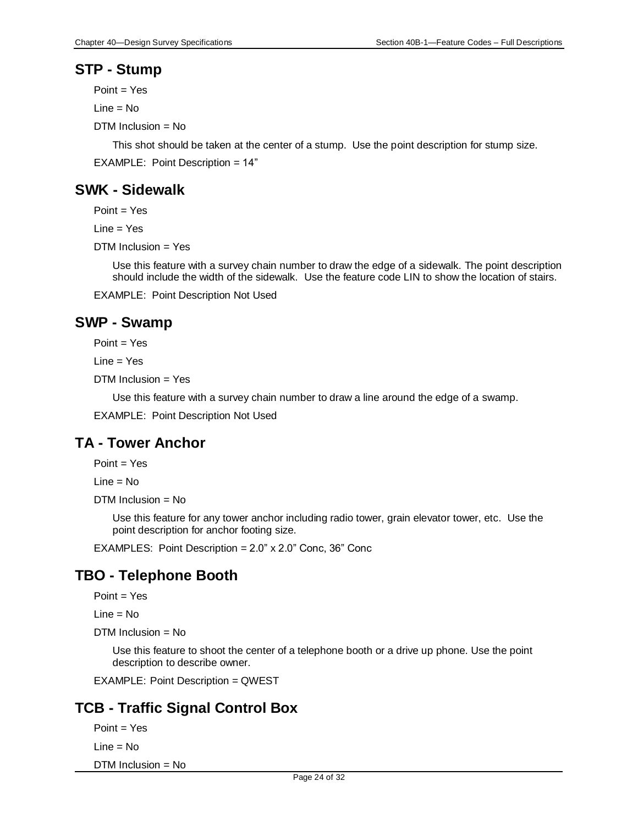### **STP - Stump**

Point = Yes

 $Line = No$ 

DTM Inclusion = No

This shot should be taken at the center of a stump. Use the point description for stump size.

EXAMPLE: Point Description = 14"

# **SWK - Sidewalk**

 $Point = Yes$ 

Line = Yes

DTM Inclusion = Yes

Use this feature with a survey chain number to draw the edge of a sidewalk. The point description should include the width of the sidewalk. Use the feature code LIN to show the location of stairs.

EXAMPLE: Point Description Not Used

#### **SWP - Swamp**

Point = Yes

 $Line = Yes$ 

 $DTM$  Inclusion = Yes

Use this feature with a survey chain number to draw a line around the edge of a swamp.

EXAMPLE: Point Description Not Used

# **TA - Tower Anchor**

 $Point = Yes$ 

Line = No

 $DTM$  Inclusion = No

Use this feature for any tower anchor including radio tower, grain elevator tower, etc. Use the point description for anchor footing size.

EXAMPLES: Point Description = 2.0" x 2.0" Conc, 36" Conc

# **TBO - Telephone Booth**

 $Point = Yes$ 

 $Line = No$ 

DTM Inclusion = No

Use this feature to shoot the center of a telephone booth or a drive up phone. Use the point description to describe owner.

EXAMPLE: Point Description = QWEST

# **TCB - Traffic Signal Control Box**

Point = Yes

 $Line = No$ 

DTM Inclusion = No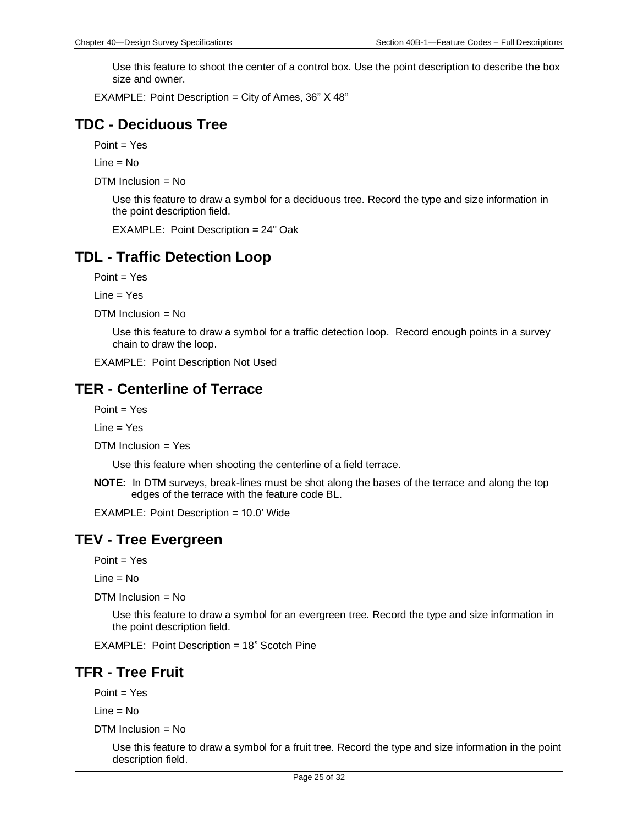Use this feature to shoot the center of a control box. Use the point description to describe the box size and owner.

EXAMPLE: Point Description = City of Ames, 36" X 48"

#### **TDC - Deciduous Tree**

Point = Yes

 $Line = No$ 

DTM Inclusion = No

Use this feature to draw a symbol for a deciduous tree. Record the type and size information in the point description field.

EXAMPLE: Point Description = 24" Oak

#### **TDL - Traffic Detection Loop**

Point = Yes

Line = Yes

 $DTM$  Inclusion = No

Use this feature to draw a symbol for a traffic detection loop. Record enough points in a survey chain to draw the loop.

EXAMPLE: Point Description Not Used

#### **TER - Centerline of Terrace**

 $Point = Yes$ 

Line = Yes

DTM Inclusion = Yes

Use this feature when shooting the centerline of a field terrace.

**NOTE:** In DTM surveys, break-lines must be shot along the bases of the terrace and along the top edges of the terrace with the feature code BL.

EXAMPLE: Point Description = 10.0' Wide

#### **TEV - Tree Evergreen**

Point = Yes

 $Line = No$ 

DTM Inclusion = No

Use this feature to draw a symbol for an evergreen tree. Record the type and size information in the point description field.

EXAMPLE: Point Description = 18" Scotch Pine

#### **TFR - Tree Fruit**

Point = Yes

Line = No

DTM Inclusion = No

Use this feature to draw a symbol for a fruit tree. Record the type and size information in the point description field.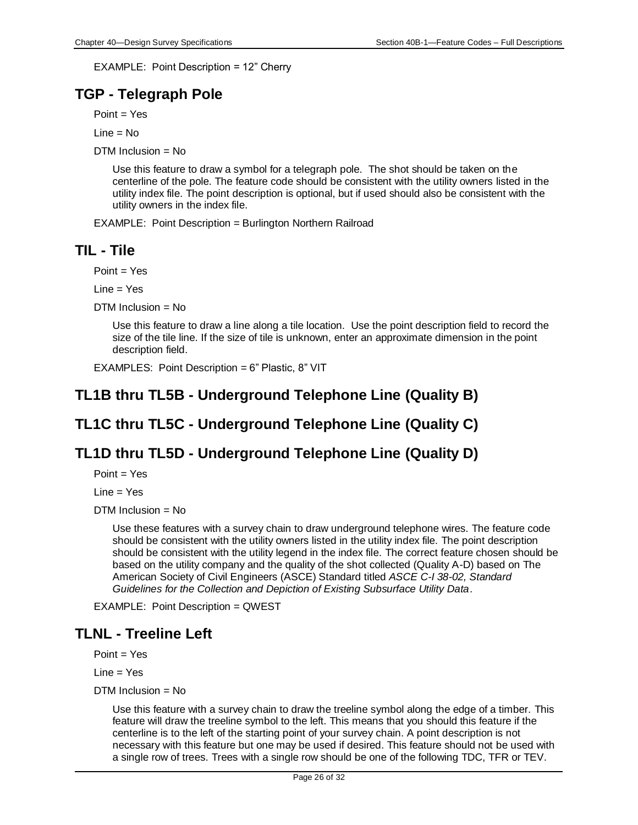EXAMPLE: Point Description = 12" Cherry

# **TGP - Telegraph Pole**

Point = Yes

 $Line = No$ 

DTM Inclusion = No

Use this feature to draw a symbol for a telegraph pole. The shot should be taken on the centerline of the pole. The feature code should be consistent with the utility owners listed in the utility index file. The point description is optional, but if used should also be consistent with the utility owners in the index file.

EXAMPLE: Point Description = Burlington Northern Railroad

#### **TIL - Tile**

Point = Yes

Line = Yes

DTM Inclusion = No

Use this feature to draw a line along a tile location. Use the point description field to record the size of the tile line. If the size of tile is unknown, enter an approximate dimension in the point description field.

EXAMPLES: Point Description = 6" Plastic, 8" VIT

### **TL1B thru TL5B - Underground Telephone Line (Quality B)**

# **TL1C thru TL5C - Underground Telephone Line (Quality C)**

# **TL1D thru TL5D - Underground Telephone Line (Quality D)**

 $Point = Yes$ 

 $Line = Yes$ 

 $DTM$  Inclusion = No

Use these features with a survey chain to draw underground telephone wires. The feature code should be consistent with the utility owners listed in the utility index file. The point description should be consistent with the utility legend in the index file. The correct feature chosen should be based on the utility company and the quality of the shot collected (Quality A-D) based on The American Society of Civil Engineers (ASCE) Standard titled *ASCE C-I 38-02, Standard Guidelines for the Collection and Depiction of Existing Subsurface Utility Data*.

EXAMPLE: Point Description = QWEST

#### **TLNL - Treeline Left**

Point = Yes

 $Line = Yes$ 

 $DTM$  Inclusion = No

Use this feature with a survey chain to draw the treeline symbol along the edge of a timber. This feature will draw the treeline symbol to the left. This means that you should this feature if the centerline is to the left of the starting point of your survey chain. A point description is not necessary with this feature but one may be used if desired. This feature should not be used with a single row of trees. Trees with a single row should be one of the following TDC, TFR or TEV.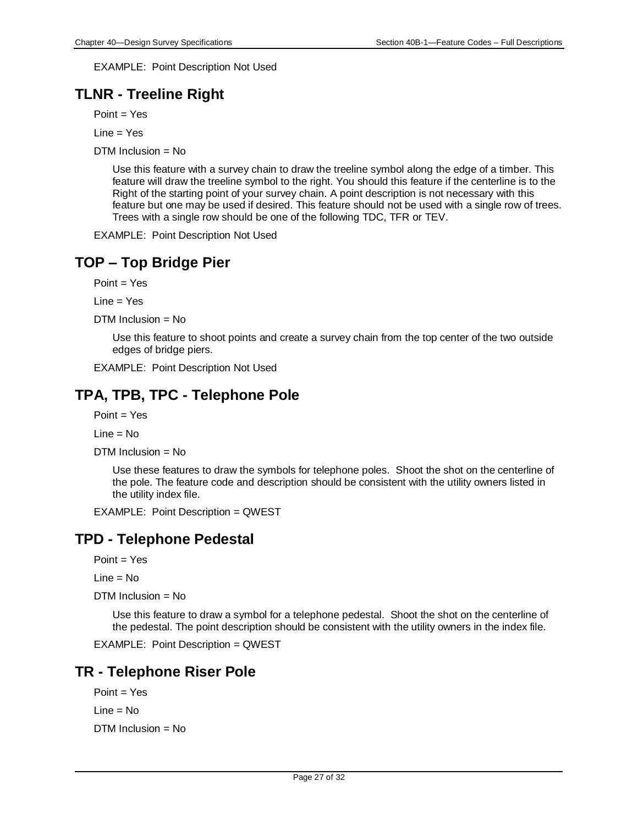EXAMPLE: Point Description Not Used

# **TLNR - Treeline Right**

 $Point = Yes$ 

Line = Yes

DTM Inclusion = No

Use this feature with a survey chain to draw the treeline symbol along the edge of a timber. This feature will draw the treeline symbol to the right. You should this feature if the centerline is to the Right of the starting point of your survey chain. A point description is not necessary with this feature but one may be used if desired. This feature should not be used with a single row of trees. Trees with a single row should be one of the following TDC, TFR or TEV.

EXAMPLE: Point Description Not Used

# **TOP – Top Bridge Pier**

 $Point = Yes$ 

 $Line = Yes$ 

DTM Inclusion = No

Use this feature to shoot points and create a survey chain from the top center of the two outside edges of bridge piers.

EXAMPLE: Point Description Not Used

# **TPA, TPB, TPC - Telephone Pole**

 $Point = Yes$ 

Line = No

DTM Inclusion = No

Use these features to draw the symbols for telephone poles. Shoot the shot on the centerline of the pole. The feature code and description should be consistent with the utility owners listed in the utility index file.

EXAMPLE: Point Description = QWEST

# **TPD - Telephone Pedestal**

 $Point = Yes$ 

 $Line = No$ 

DTM Inclusion = No

Use this feature to draw a symbol for a telephone pedestal. Shoot the shot on the centerline of the pedestal. The point description should be consistent with the utility owners in the index file.

EXAMPLE: Point Description = QWEST

# **TR - Telephone Riser Pole**

Point = Yes  $Line = No$ DTM Inclusion = No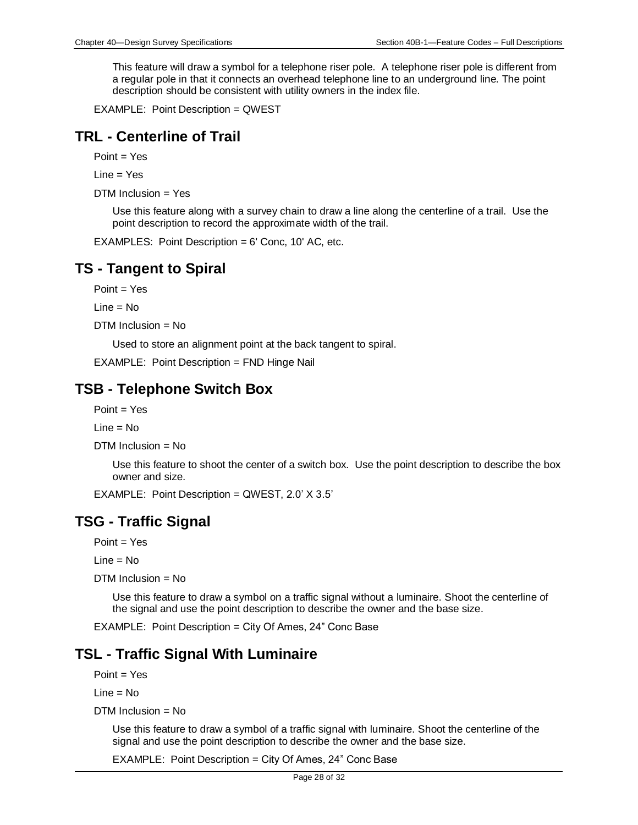This feature will draw a symbol for a telephone riser pole. A telephone riser pole is different from a regular pole in that it connects an overhead telephone line to an underground line. The point description should be consistent with utility owners in the index file.

EXAMPLE: Point Description = QWEST

#### **TRL - Centerline of Trail**

Point = Yes

Line = Yes

DTM Inclusion = Yes

Use this feature along with a survey chain to draw a line along the centerline of a trail. Use the point description to record the approximate width of the trail.

EXAMPLES: Point Description = 6' Conc, 10' AC, etc.

### **TS - Tangent to Spiral**

 $Point = Yes$ 

Line = No

DTM Inclusion = No

Used to store an alignment point at the back tangent to spiral.

EXAMPLE: Point Description = FND Hinge Nail

#### **TSB - Telephone Switch Box**

 $Point = Yes$ 

 $Line = No$ 

DTM Inclusion = No

Use this feature to shoot the center of a switch box. Use the point description to describe the box owner and size.

EXAMPLE: Point Description = QWEST, 2.0' X 3.5'

#### **TSG - Traffic Signal**

Point = Yes

Line = No

DTM Inclusion = No

Use this feature to draw a symbol on a traffic signal without a luminaire. Shoot the centerline of the signal and use the point description to describe the owner and the base size.

EXAMPLE: Point Description = City Of Ames, 24" Conc Base

# **TSL - Traffic Signal With Luminaire**

 $Point = Yes$ 

Line = No

 $DTM$  Inclusion = No

Use this feature to draw a symbol of a traffic signal with luminaire. Shoot the centerline of the signal and use the point description to describe the owner and the base size.

EXAMPLE: Point Description = City Of Ames, 24" Conc Base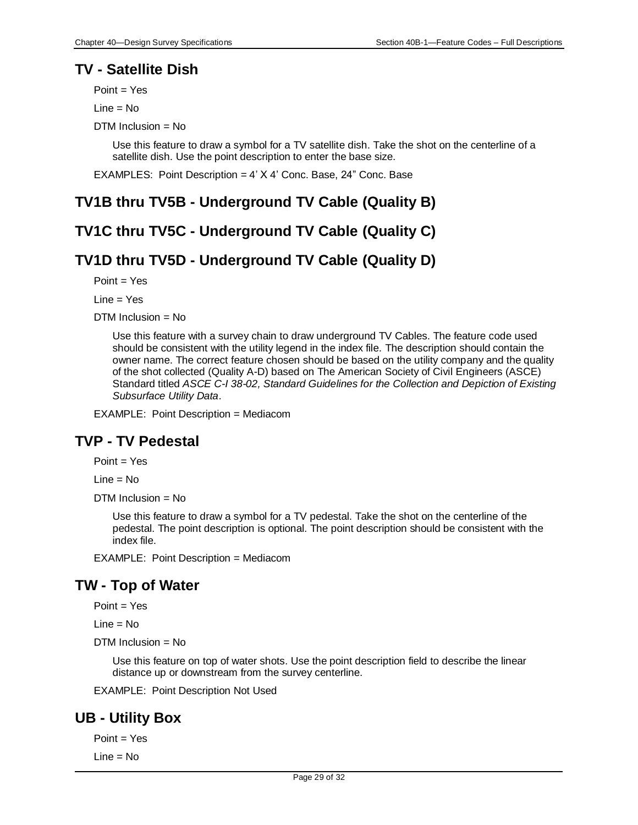#### **TV - Satellite Dish**

Point = Yes

 $Line = No$ 

DTM Inclusion = No

Use this feature to draw a symbol for a TV satellite dish. Take the shot on the centerline of a satellite dish. Use the point description to enter the base size.

EXAMPLES: Point Description = 4' X 4' Conc. Base, 24" Conc. Base

### **TV1B thru TV5B - Underground TV Cable (Quality B)**

#### **TV1C thru TV5C - Underground TV Cable (Quality C)**

# **TV1D thru TV5D - Underground TV Cable (Quality D)**

Point = Yes

Line = Yes

 $DTM$  Inclusion = No

Use this feature with a survey chain to draw underground TV Cables. The feature code used should be consistent with the utility legend in the index file. The description should contain the owner name. The correct feature chosen should be based on the utility company and the quality of the shot collected (Quality A-D) based on The American Society of Civil Engineers (ASCE) Standard titled *ASCE C-I 38-02, Standard Guidelines for the Collection and Depiction of Existing Subsurface Utility Data*.

EXAMPLE: Point Description = Mediacom

#### **TVP - TV Pedestal**

 $Point = Yes$ 

Line = No

DTM Inclusion = No

Use this feature to draw a symbol for a TV pedestal. Take the shot on the centerline of the pedestal. The point description is optional. The point description should be consistent with the index file.

EXAMPLE: Point Description = Mediacom

#### **TW - Top of Water**

 $Point = Yes$ 

 $Line = No$ 

DTM Inclusion = No

Use this feature on top of water shots. Use the point description field to describe the linear distance up or downstream from the survey centerline.

EXAMPLE: Point Description Not Used

#### **UB - Utility Box**

Point = Yes Line = No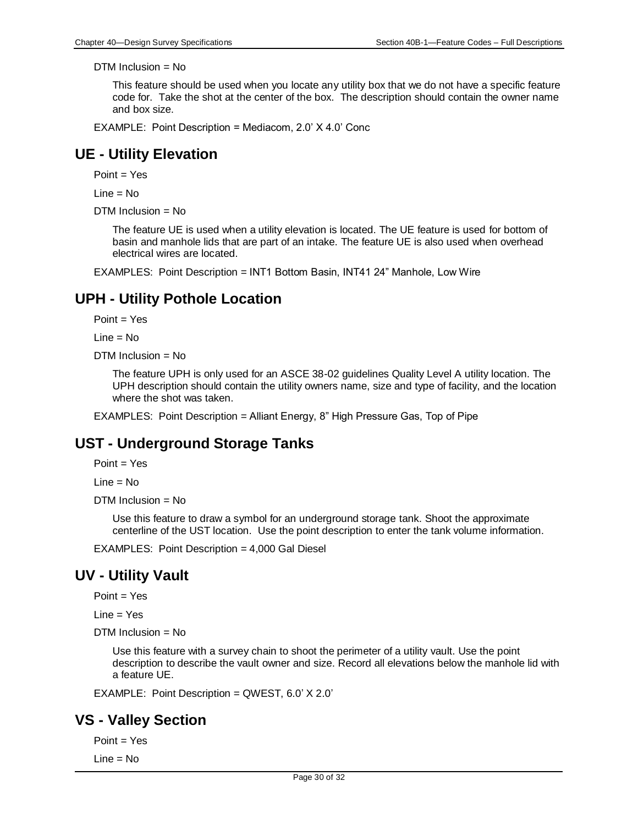This feature should be used when you locate any utility box that we do not have a specific feature code for. Take the shot at the center of the box. The description should contain the owner name and box size.

EXAMPLE: Point Description = Mediacom, 2.0' X 4.0' Conc

#### **UE - Utility Elevation**

Point = Yes

 $Line = No$ 

DTM Inclusion = No

The feature UE is used when a utility elevation is located. The UE feature is used for bottom of basin and manhole lids that are part of an intake. The feature UE is also used when overhead electrical wires are located.

EXAMPLES: Point Description = INT1 Bottom Basin, INT41 24" Manhole, Low Wire

### **UPH - Utility Pothole Location**

Point = Yes

Line = No

DTM Inclusion = No

The feature UPH is only used for an ASCE 38-02 guidelines Quality Level A utility location. The UPH description should contain the utility owners name, size and type of facility, and the location where the shot was taken.

EXAMPLES: Point Description = Alliant Energy, 8" High Pressure Gas, Top of Pipe

#### **UST - Underground Storage Tanks**

Point = Yes

 $Line = No$ 

DTM Inclusion = No

Use this feature to draw a symbol for an underground storage tank. Shoot the approximate centerline of the UST location. Use the point description to enter the tank volume information.

EXAMPLES: Point Description = 4,000 Gal Diesel

# **UV - Utility Vault**

Point = Yes

 $Line = Yes$ 

 $DTM$  Inclusion = No

Use this feature with a survey chain to shoot the perimeter of a utility vault. Use the point description to describe the vault owner and size. Record all elevations below the manhole lid with a feature UE.

EXAMPLE: Point Description = QWEST, 6.0' X 2.0'

# **VS - Valley Section**

Point = Yes

 $Line = No$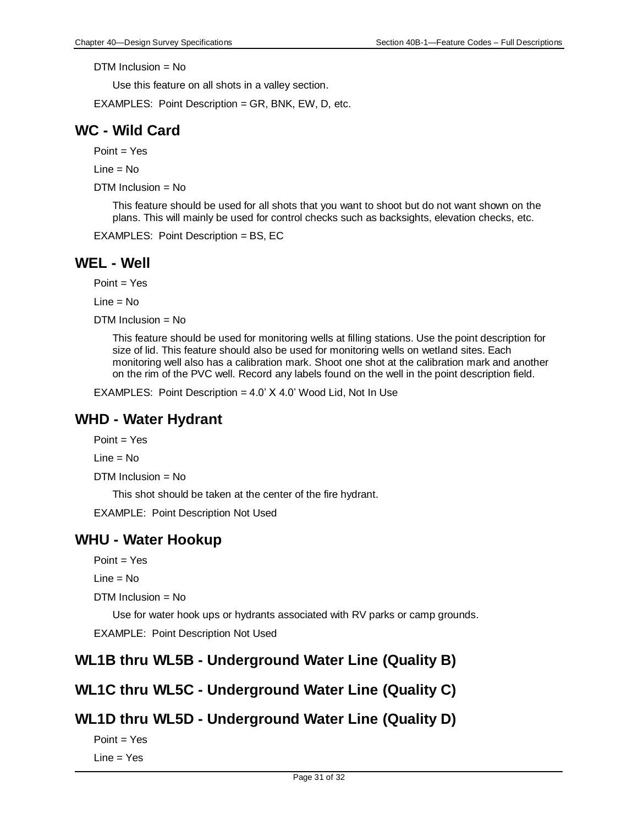Use this feature on all shots in a valley section.

EXAMPLES: Point Description = GR, BNK, EW, D, etc.

### **WC - Wild Card**

Point = Yes

 $Line = No$ 

DTM Inclusion = No

This feature should be used for all shots that you want to shoot but do not want shown on the plans. This will mainly be used for control checks such as backsights, elevation checks, etc.

EXAMPLES: Point Description = BS, EC

#### **WEL - Well**

 $Point = Yes$ 

Line = No

 $DTM$  Inclusion = No

This feature should be used for monitoring wells at filling stations. Use the point description for size of lid. This feature should also be used for monitoring wells on wetland sites. Each monitoring well also has a calibration mark. Shoot one shot at the calibration mark and another on the rim of the PVC well. Record any labels found on the well in the point description field.

EXAMPLES: Point Description =  $4.0'$  X  $4.0'$  Wood Lid, Not In Use

#### **WHD - Water Hydrant**

Point = Yes

 $Line = No$ 

DTM Inclusion = No

This shot should be taken at the center of the fire hydrant.

EXAMPLE: Point Description Not Used

#### **WHU - Water Hookup**

Point = Yes

 $Line = No$ 

DTM Inclusion = No

Use for water hook ups or hydrants associated with RV parks or camp grounds. EXAMPLE: Point Description Not Used

# **WL1B thru WL5B - Underground Water Line (Quality B)**

#### **WL1C thru WL5C - Underground Water Line (Quality C)**

#### **WL1D thru WL5D - Underground Water Line (Quality D)**

Point = Yes Line = Yes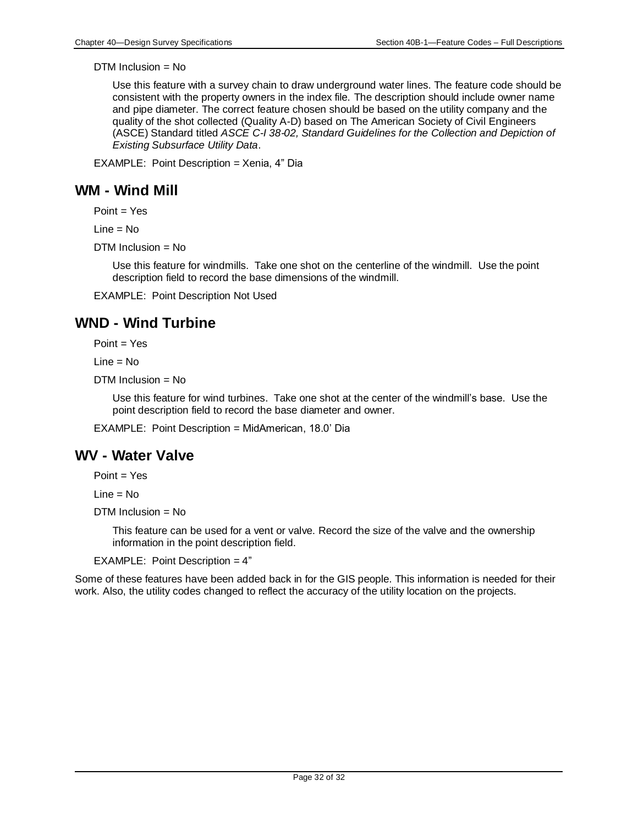Use this feature with a survey chain to draw underground water lines. The feature code should be consistent with the property owners in the index file. The description should include owner name and pipe diameter. The correct feature chosen should be based on the utility company and the quality of the shot collected (Quality A-D) based on The American Society of Civil Engineers (ASCE) Standard titled *ASCE C-I 38-02, Standard Guidelines for the Collection and Depiction of Existing Subsurface Utility Data*.

EXAMPLE: Point Description = Xenia, 4" Dia

### **WM - Wind Mill**

Point = Yes

 $Line = No$ 

 $DTM$  Inclusion = No

Use this feature for windmills. Take one shot on the centerline of the windmill. Use the point description field to record the base dimensions of the windmill.

EXAMPLE: Point Description Not Used

# **WND - Wind Turbine**

 $Point = Yes$ 

Line = No

DTM Inclusion = No

Use this feature for wind turbines. Take one shot at the center of the windmill's base. Use the point description field to record the base diameter and owner.

EXAMPLE: Point Description = MidAmerican, 18.0' Dia

# **WV - Water Valve**

Point = Yes

Line = No

 $DTM$  Inclusion = No

This feature can be used for a vent or valve. Record the size of the valve and the ownership information in the point description field.

EXAMPLE: Point Description = 4"

Some of these features have been added back in for the GIS people. This information is needed for their work. Also, the utility codes changed to reflect the accuracy of the utility location on the projects.